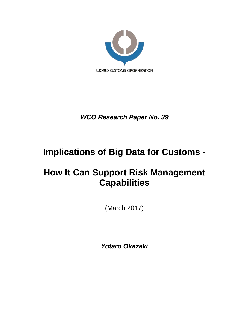

*WCO Research Paper No. 39*

# **Implications of Big Data for Customs -**

# <span id="page-0-0"></span>**How It Can Support Risk Management Capabilities**

(March 2017)

*Yotaro Okazaki*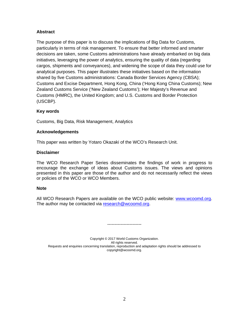### **Abstract**

The purpose of this paper is to discuss the implications of Big Data for Customs, particularly in terms of risk management. To ensure that better informed and smarter decisions are taken, some Customs administrations have already embarked on big data initiatives, leveraging the power of analytics, ensuring the quality of data (regarding cargos, shipments and conveyances), and widening the scope of data they could use for analytical purposes. This paper illustrates these initiatives based on the information shared by five Customs administrations: Canada Border Services Agency (CBSA); Customs and Excise Department, Hong Kong, China ('Hong Kong China Customs); New Zealand Customs Service ('New Zealand Customs'); Her Majesty's Revenue and Customs (HMRC), the United Kingdom; and U.S. Customs and Border Protection (USCBP).

### **Key words**

Customs, Big Data, Risk Management, Analytics

### **Acknowledgements**

This paper was written by Yotaro Okazaki of the WCO's Research Unit.

### **Disclaimer**

The WCO Research Paper Series disseminates the findings of work in progress to encourage the exchange of ideas about Customs issues. The views and opinions presented in this paper are those of the author and do not necessarily reflect the views or policies of the WCO or WCO Members.

### **Note**

All WCO Research Papers are available on the WCO public website: [www.wcoomd.org.](http://www.wcoomd.org/) The author may be contacted via [research@wcoomd.org.](mailto:research@wcoomd.org)

Copyright © 2017 World Customs Organization. All rights reserved. Requests and enquiries concerning translation, reproduction and adaptation rights should be addressed to copyright@wcoomd.org.

-----------------------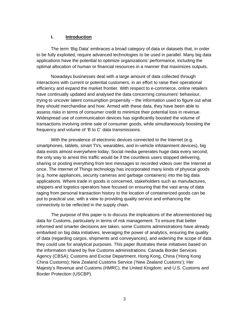### **I. Introduction**

The term 'Big Data' embraces a broad category of data or datasets that, in order to be fully exploited, require advanced technologies to be used in parallel. Many big data applications have the potential to optimize organizations' performance, including the optimal allocation of human or financial resources in a manner that maximizes outputs.

Nowadays businesses deal with a large amount of data collected through interactions with current or potential customers, in an effort to raise their operational efficiency and expand the market frontier. With respect to e-commerce, online retailers have continually updated and analysed the data concerning consumers' behaviour, trying to uncover latent consumption propensity – the information used to figure out what they should merchandise and how. Armed with these data, they have been able to assess risks in terms of consumer credit to minimize their potential loss in revenue. Widespread use of communication devices has significantly boosted the volume of transactions involving online sale of consumer goods, while simultaneously boosting the frequency and volume of 'B to C' data transmissions.

With the prevalence of electronic devices connected to the Internet (e.g. smartphones, tablets, smart TVs, wearables, and in-vehicle infotainment devices), big data exists almost everywhere today. Social media generates huge data every second, the only way to arrest this traffic would be if the countless users stopped delivering, sharing or posting everything from text messages to recorded videos over the Internet at once. The Internet of Things technology has incorporated many kinds of physical goods (e.g. home appliances, security cameras and garbage containers) into the big data applications. Where trade in goods is concerned, stakeholders such as manufactures, shippers and logistics operators have focused on ensuring that the vast array of data raging from personal transaction history to the location of containerized goods can be put to practical use, with a view to providing quality service and enhancing the connectivity to be reflected in the supply chain.

The purpose of this paper is to discuss the implications of the aforementioned big data for Customs, particularly in terms of risk management. To ensure that better informed and smarter decisions are taken, some Customs administrations have already embarked on big data initiatives, leveraging the power of analytics, ensuring the quality of data (regarding cargos, shipments and conveyances), and widening the scope of data they could use for analytical purposes. This paper illustrates these initiatives based on the information shared by five Customs administrations: Canada Border Services Agency (CBSA); Customs and Excise Department, Hong Kong, China ('Hong Kong China Customs); New Zealand Customs Service ('New Zealand Customs'); Her Majesty's Revenue and Customs (HMRC), the United Kingdom; and U.S. Customs and Border Protection (USCBP).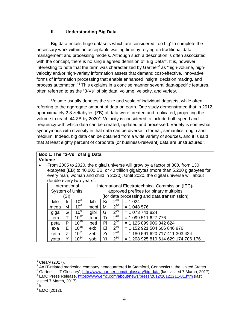### **II. Understanding Big Data**

Big data entails huge datasets which are considered 'too big' to complete the necessary work within an acceptable waiting time by relying on traditional data management and processing models. Although such a description is often associated with the concept, there is no single agreed definition of 'Big Data'<sup>[1](#page-0-0)</sup>. It is, however, interesting to note that the term was characterized by Gartner<sup>[2](#page-3-0)</sup> as "high-volume, highvelocity and/or high-variety information assets that demand cost-effective, innovative forms of information processing that enable enhanced insight, decision making, and process automation."<sup>[3](#page-3-1)</sup> This explains in a concise manner several data-specific features, often referred to as the "3-Vs" of big data: volume, velocity, and variety.

Volume usually denotes the size and scale of individual datasets, while often referring to the aggregate amount of data on earth. One study demonstrated that in 2012, approximately 2.8 zettabytes (ZB) of data were created and replicated, projecting the volume to reach [4](#page-3-2)4 ZB by 2020<sup>4</sup>. Velocity is considered to include both speed and frequency with which data can be created, updated and processed. Variety is somewhat synonymous with diversity in that data can be diverse in format, semantics, origin and medium. Indeed, big data can be obtained from a wide variety of sources, and it is said that at least eighty percent of corporate (or business-relevant) data are unstructured $^5\!$  $^5\!$  $^5\!$ .

# **Box 1. The "3-Vs" of Big Data**

### **Volume**

| $\bullet$ | From 2005 to 2020, the digital universe will grow by a factor of 300, from 130<br>exabytes (EB) to 40,000 EB, or 40 trillion gigabytes (more than 5,200 gigabytes for<br>every man, woman and child in 2020). Until 2020, the digital universe will about<br>double every two years <sup>6</sup> . |   |                                                  |                                             |    |          |                               |  |
|-----------|----------------------------------------------------------------------------------------------------------------------------------------------------------------------------------------------------------------------------------------------------------------------------------------------------|---|--------------------------------------------------|---------------------------------------------|----|----------|-------------------------------|--|
|           | International                                                                                                                                                                                                                                                                                      |   | International Electrotechnical Commission (IEC)- |                                             |    |          |                               |  |
|           | <b>System of Units</b>                                                                                                                                                                                                                                                                             |   | approved prefixes for binary multiples           |                                             |    |          |                               |  |
|           | (SI)                                                                                                                                                                                                                                                                                               |   |                                                  | (for data processing and data transmission) |    |          |                               |  |
|           | kilo                                                                                                                                                                                                                                                                                               | k | 10 <sup>3</sup>                                  | kibi                                        | Ki | $2^{10}$ | $= 1024$                      |  |
|           | mega                                                                                                                                                                                                                                                                                               | M | $10^6$                                           | mebi                                        | Mi | $2^{20}$ | $= 1048576$                   |  |
|           | giga                                                                                                                                                                                                                                                                                               | G | 10 <sup>9</sup>                                  | gibi                                        | Gi | $2^{30}$ | $= 1073741824$                |  |
|           | tera                                                                                                                                                                                                                                                                                               | т | $10^{12}$                                        | tebi                                        | Τi | $2^{40}$ | $= 1099511627776$             |  |
|           | peta                                                                                                                                                                                                                                                                                               | P | $10^{15}$                                        | peti                                        | Pi | $2^{50}$ | $= 1125899906842624$          |  |
|           | exa                                                                                                                                                                                                                                                                                                | F | $10^{18}$                                        | exbi                                        | Ei | $2^{60}$ | $= 1152921504606846976$       |  |
|           | zetta                                                                                                                                                                                                                                                                                              | Z | $10^{27}$                                        | zebi                                        | Ζi | $2^{70}$ | $= 1180591620717411303424$    |  |
|           | votta                                                                                                                                                                                                                                                                                              | Y | $10^{24}$                                        | yobi                                        | Yi | $2^{80}$ | $= 1208925819614629174706176$ |  |

<span id="page-3-3"></span> $\overline{5}$  Id.

<span id="page-3-4"></span> $6$  EMC (2012).

<span id="page-3-5"></span><span id="page-3-0"></span> $^1$  Cleary (2017).<br><sup>2</sup> An IT-related marketing company headquartered in Stamford, Connecticut, the United States.

<sup>&</sup>lt;sup>3</sup> Gartner – 'IT Glossary', <u>http://www.gartner.com/it-glossary/big-data</u> (last visited 7 March, 2017).<br><sup>4</sup> EMC Press Release, <u>https://www.emc.com/about/news/press/2012/20121211-01.htm</u> (last

<span id="page-3-2"></span><span id="page-3-1"></span>visited 7 March, 2017).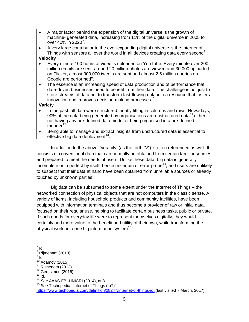- A major factor behind the expansion of the digital universe is the growth of machine- generated data, increasing from 11% of the digital universe in 2005 to over 40% in 2020<sup>[7](#page-3-5)</sup>.
- A very large contributor to the ever-expanding digital universe is the Internet of Things with sensors all over the world in all devices creating data every second<sup>[8](#page-4-0)</sup>.

# **Velocity**

- Every minute 100 hours of video is uploaded on YouTube. Every minute over 200 million emails are sent, around 20 million photos are viewed and 30,000 uploaded on Flicker, almost 300,000 tweets are sent and almost 2.5 million queries on Google are performed<sup>[9](#page-4-1)</sup>.
- The essence is an increasing speed of data production and of performance that data-driven businesses need to benefit from their data. The challenge is not just to store streams of data but to transform fast-flowing data into a resource that fosters innovation and improves decision-making processes $^{10}$ .

### **Variety**

- In the past, all data were structured, neatly fitting in columns and rows. Nowadays, 90% of the data being generated by organisations are unstructured data<sup>[11](#page-4-3)</sup> either not having any pre-defined data model or being organised in a pre-defined manner<sup>[12](#page-4-4)</sup>.
- Being able to manage and extract insights from unstructured data is essential to effective big data deployment $^{13}$ .

In addition to the above, 'veracity' (as the forth "V") is often referenced as well. It consists of conventional data that can normally be obtained from certain familiar sources and prepared to meet the needs of users. Unlike these data, big data is generally incomplete or imperfect by itself, hence uncertain or error-prone<sup>[14](#page-4-6)</sup>, and users are unlikely to suspect that their data at hand have been obtained from unreliable sources or already touched by unknown parties.

Big data can be subsumed to some extent under the Internet of Things – the networked connection of physical objects that are not computers in the classic sense. A variety of items, including household products and community facilities, have been equipped with information terminals and thus become a provider of raw or initial data, focused on their regular use, helping to facilitate certain business tasks, public or private. If such goods for everyday life were to represent themselves digitally, they would certainly add more value to the benefit and utility of their own, while transforming the physical world into one big information system $^{15}$ .

<https://www.techopedia.com/definition/28247/internet-of-things-iot> (last visited 7 March, 2017).

 $<sup>7</sup>$  Id.</sup>

 $8$  Rijmenam (2013).

<span id="page-4-2"></span><span id="page-4-1"></span><span id="page-4-0"></span> $\frac{9}{10}$  Id.<br> $\frac{10}{10}$  Adamov (2015).

<span id="page-4-5"></span>

<span id="page-4-4"></span><span id="page-4-3"></span><sup>&</sup>lt;sup>11</sup> Rijmenam (2013).<br><sup>12</sup> Gerasimou (2016).<br><sup>13</sup> Id.<br><sup>14</sup> See AAAS-FBI-UNICRI (2014), at 8.

<span id="page-4-7"></span><span id="page-4-6"></span><sup>&</sup>lt;sup>15</sup> See Techopedia, 'Internet of Things (IoT)',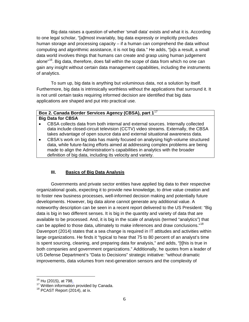Big data raises a question of whether 'small data' exists and what it is. According to one legal scholar, "[a]lmost invariably, big data expressly or implicitly precludes human storage and processing capacity – if a human can comprehend the data without computing and algorithmic assistance, it is not big data." He adds, "[a]s a result, a small data world involves things that humans can create and grasp using human judgement alone"<sup>16</sup>. Big data, therefore, does fall within the scope of data from which no one can gain any insight without certain data management capabilities, including the instruments of analytics.

To sum up, big data is anything but voluminous data, not a solution by itself. Furthermore, big data is intrinsically worthless without the applications that surround it. It is not until certain tasks requiring informed decision are identified that big data applications are shaped and put into practical use.

### **Box 2. Canada Border Services Agency (CBSA), part 1**[17](#page-5-0) **Big Data for CBSA**

- CBSA collects data from both internal and external sources. Internally collected data include closed-circuit television (CCTV) video streams. Externally, the CBSA takes advantage of open source data and external situational awareness data.
- CBSA's work on big data has mainly focused on analysing high-volume structured data, while future-facing efforts aimed at addressing complex problems are being made to align the Administration's capabilities in analytics with the broader definition of big data, including its velocity and variety.

# **III. Basics of Big Data Analysis**

Governments and private sector entities have applied big data to their respective organizational goals, expecting it to provide new knowledge, to drive value creation and to foster new business processes, well-informed decision making and potentially future developments. However, big data alone cannot generate any additional value. A noteworthy description can be seen in a recent report delivered to the US President: "Big data is big in two different senses. It is big in the quantity and variety of data that are available to be processed. And, it is big in the scale of analysis (termed "analytics") that can be applied to those data, ultimately to make inferences and draw conclusions."[18](#page-5-1) Davenport (2014) states that a sea change is required in IT attitudes and activities within large organizations. He finds it "typical to hear that 75 to 80 percent of an analyst's time is spent sourcing, cleaning, and preparing data for analysis," and adds, "[t]his is true in both companies and government organizations." Additionally, he quotes from a leader of US Defense Department's "Data to Decisions" strategic initiative: "without dramatic improvements, data volumes from next-generation sensors and the complexity of

<span id="page-5-2"></span><span id="page-5-0"></span><sup>&</sup>lt;sup>16</sup> Hu (2015), at 798<u>.</u><br><sup>17</sup> Written information provided by Canada.<br><sup>18</sup> PCAST Report (2014), at ix.

<span id="page-5-1"></span>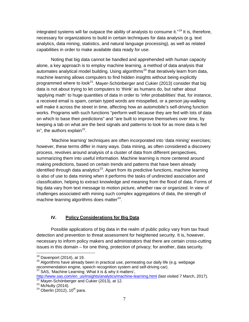integrated systems will far outpace the ability of analysts to consume it."<sup>[19](#page-5-2)</sup> It is, therefore, necessary for organizations to build in certain techniques for data analysis (e.g. text analytics, data mining, statistics, and natural language processing), as well as related capabilities in order to make available data ready for use.

Noting that big data cannot be handled and apprehended with human capacity alone, a key approach is to employ machine learning, a method of data analysis that automates analytical model building. Using algorithms<sup>[20](#page-6-0)</sup> that iteratively learn from data, machine learning allows computers to find hidden insights without being explicitly programmed where to look<sup>[21](#page-6-1)</sup>. Mayer-Schönberger and Cukier (2013) consider that big data is not about trying to let computers to 'think' as humans do, but rather about 'applying math' to huge quantities of data in order to 'infer probabilities' that, for instance, a received email is spam, certain typed words are misspelled, or a person jay-walking will make it across the street in time, affecting how an automobile's self-driving function works. Programs with such functions "perform well because they are fed with lots of data on which to base their predictions" and "are built to improve themselves over time, by keeping a tab on what are the best signals and patterns to look for as more data is fed in", the authors explain $^{22}$ .

'Machine learning' techniques are often incorporated into 'data mining' exercises; however, these terms differ in many ways. Data mining, as often considered a discovery process, revolves around analysis of a cluster of data from different perspectives, summarizing them into useful information. Machine learning is more centered around making predictions, based on certain trends and patterns that have been already identified through data analytics<sup>[23](#page-6-3)</sup>. Apart from its predictive functions, machine learning is also of use to data mining when it performs the tasks of undirected association and classification, helping to extract knowledge and meaning from the flood of data. Forms of big data vary from text message to motion picture, whether raw or organized. In view of challenges associated with mining such complex aggregations of data, the strength of machine learning algorithms does matter $^{24}$  $^{24}$  $^{24}$ .

# **IV. Policy Considerations for Big Data**

Possible applications of big data in the realm of public policy vary from tax fraud detection and prevention to threat assessment for heightened security. It is, however, necessary to inform policy makers and administrators that there are certain cross-cutting issues in this domain – for one thing, protection of privacy; for another, data security.

<span id="page-6-5"></span><span id="page-6-0"></span><sup>&</sup>lt;sup>19</sup> Davenport (2014), at 19.<br><sup>20</sup> Algorithms have already been in practical use, permeating our daily life (e.g. webpage recommendation engine, speech recognition system and self-driving car).

 $21$  SAS, 'Machine Learning: What it is & why it matters',

<span id="page-6-2"></span><span id="page-6-1"></span>[http://www.sas.com/en\\_us/insights/analytics/machine-learning.html](http://www.sas.com/en_us/insights/analytics/machine-learning.html) (last visited 7 March, 2017). <sup>22</sup> Mayer-Schönberger and Cukier (2013), at 12. <sup>23</sup> McNulty (2014). <sup>24</sup> Oberlin (2012), 10<sup>th</sup> para.

<span id="page-6-4"></span><span id="page-6-3"></span>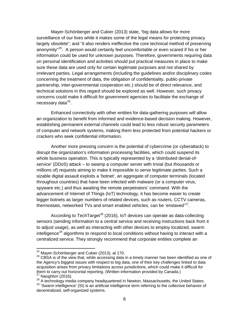Mayer-Schönberger and Cukier (2013) state, "big data allows for more surveillance of our lives while it makes some of the legal means for protecting privacy largely obsolete"; and "it also renders ineffective the core technical method of preserving anonymity"<sup>[25](#page-6-5)</sup>. A person would certainly feel uncomfortable or even scared if his or her information could be used for unknown purposes. Therefore, governments requiring data on personal identification and activities should put practical measures in place to make sure these data are used only for certain legitimate purposes and not shared by irrelevant parties. Legal arrangements (including the guidelines and/or disciplinary codes concerning the treatment of data, the obligation of confidentiality, public-private partnership, inter-governmental cooperation etc.) should be of direct relevance, and technical solutions in this regard should be explored as well. However, such privacy concerns could make it difficult for government agencies to facilitate the exchange of necessary data<sup>26</sup>.

Enhanced connectivity with other entities for data-gathering purposes will allow an organization to benefit from informed and evidence-based decision making. However, establishing permanent external channels could lead to less robust security parameters of computer and network systems, making them less protected from potential hackers or crackers who seek confidential information.

Another more pressing concern is the potential of cybercrime (or cyberattack) to disrupt the organization's information processing facilities, which could suspend its whole business operation. This is typically represented by a 'distributed denial-ofservice' (DDoS) attack – to swamp a computer server with trivial (but thousands or millions of) requests aiming to make it impossible to serve legitimate parties. Such a sizable digital assault exploits a 'botnet', an aggregate of computer terminals (located throughout countries) that have been infected with malware (or a computer virus, spyware etc.) and thus awaiting the remote perpetrators' command. With the advancement of Internet of Things (IoT) technology, it has become easier to create bigger botnets as larger numbers of related devices, such as routers, CCTV cameras, thermostats, networked TVs and smart enabled vehicles, can be 'enslaved'<sup>[27](#page-7-1)</sup>.

According to TechTarget<sup>[28](#page-7-2)</sup> (2016), IoT devices can operate as data-collecting sensors (sending information to a central service and receiving instructions back from it to adjust usage), as well as interacting with other devices to employ localized, swarm intelligence<sup>[29](#page-7-3)</sup> algorithms to respond to local conditions without having to interact with a centralized service. They strongly recommend that corporate entities complete an

<span id="page-7-0"></span><sup>&</sup>lt;sup>25</sup> Mayer-Schönberger and Cukier (2013), at 170.<br><sup>26</sup> CBSA is of the view that, while accessing data in a timely manner has been identified as one of the Agency's biggest issues with respect to big data, one of their key challenges linked to data acquisition arises from privacy limitations across jurisdictions, which could make it difficult for them to carry out horizontal reporting. (Written information provided by Canada.)<br><sup>27</sup> Naughton (2016). 28 A technology media company headquartered in Newton, Massachusetts, the United States.

<span id="page-7-3"></span><span id="page-7-2"></span><span id="page-7-1"></span>

<sup>&</sup>lt;sup>29</sup> 'Swarm intelligence' (SI) is an artificial intelligence term referring to the collective behavior of decentralized, self-organized systems.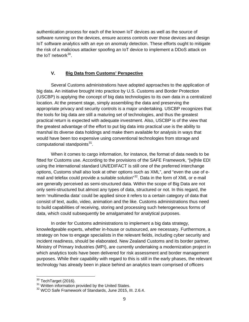authentication process for each of the known IoT devices as well as the source of software running on the devices, ensure access controls over those devices and design IoT software analytics with an eye on anomaly detection. These efforts ought to mitigate the risk of a malicious attacker spoofing an IoT device to implement a DDoS attack on the IoT network $^{30}$  $^{30}$  $^{30}$ .

### **V. Big Data from Customs' Perspective**

Several Customs administrations have adopted approaches to the application of big data. An initiative brought into practice by U.S. Customs and Border Protection (USCBP) is applying the concept of big data technologies to its own data in a centralized location. At the present stage, simply assembling the data and preserving the appropriate privacy and security controls is a major undertaking. USCBP recognizes that the tools for big data are still a maturing set of technologies, and thus the greatest practical return is expected with adequate investment. Also, USCBP is of the view that the greatest advantage of the effort to put big data into practical use is the ability to marshal its diverse data holdings and make them available for analysis in ways that would have been too expensive using conventional technologies from storage and computational standpoints<sup>[31](#page-8-0)</sup>.

When it comes to cargo information, for instance, the format of data needs to be fitted for Customs use. According to the provisions of the SAFE Framework, "[w]hile EDI using the international standard UN/EDIFACT is still one of the preferred interchange options, Customs shall also look at other options such as XML", and "even the use of email and telefax could provide a suitable solution<sup>32</sup>. Data in the form of XML or e-mail are generally perceived as semi-structured data. Within the scope of Big Data are not only semi-structured but almost any types of data, structured or not. In this regard, the term 'multimedia data' could be applied since it refers to a certain category of data that consist of text, audio, video, animation and the like. Customs administrations thus need to build capabilities of receiving, storing and processing such heterogeneous forms of data, which could subsequently be amalgamated for analytical purposes.

In order for Customs administrations to implement a big data strategy, knowledgeable experts, whether in-house or outsourced, are necessary. Furthermore, a strategy on how to engage specialists in the relevant fields, including cyber security and incident readiness, should be elaborated. New Zealand Customs and its border partner, Ministry of Primary Industries (MPI), are currently undertaking a modernization project in which analytics tools have been delivered for risk assessment and border management purposes. While their capability with regard to this is still in the early phases, the relevant technology has already been in place behind an analytics team comprised of officers

<span id="page-8-2"></span> $30^{30}$  TechTarget (2016).<br> $31$  Written information provided by the United States.

<span id="page-8-1"></span><span id="page-8-0"></span><sup>32</sup> WCO Safe Framework of Standards, June 2015, III. 2.6.4.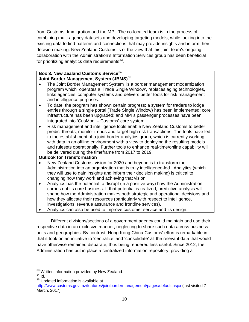from Customs, Immigration and the MPI. The co-located team is in the process of combining multi-agency datasets and developing targeting models, while looking into the existing data to find patterns and connections that may provide insights and inform their decision making. New Zealand Customs is of the view that this joint team's ongoing collaboration with the Administration's Information Services group has been beneficial for prioritizing analytics data requirements $^{33}$ .

# **Box 3. New Zealand Customs Service**[34](#page-9-0)

### **Joint Border Management System (JBMS)**[35](#page-9-1)

- The Joint Border Management System is a border management modernization program which operates a 'Trade Single Window', replaces aging technologies, links agencies' computer systems and delivers better tools for risk management and intelligence purposes.
- To date, the program has shown certain progress: a system for traders to lodge entries through a single portal (Trade Single Window) has been implemented; core infrastructure has been upgraded; and MPI's passenger processes have been integrated into 'CusMod' – Customs' core system.
- Risk management and intelligence tools enable New Zealand Customs to better predict threats, monitor trends and target high risk transactions. The tools have led to the establishment of a joint border analytics group, which is currently working with data in an offline environment with a view to deploying the resulting models and rulesets operationally. Further tools to enhance real-time/online capability will be delivered during the timeframe from 2017 to 2019.

### **Outlook for Transformation**

- New Zealand Customs' vision for 2020 and beyond is to transform the Administration into an organization that is truly intelligence-led. Analytics (which they will use to gain insights and inform their decision making) is critical to changing how they work and achieving that vision.
- Analytics has the potential to disrupt (in a positive way) how the Administration carries out its core business. If that potential is realized, predictive analysis will shape how the Administration makes both strategic and operational decisions and how they allocate their resources (particularly with respect to intelligence, investigations, revenue assurance and frontline services).
- Analytics can also be used to improve customer service and its design.

Different divisions/sections of a government agency could maintain and use their respective data in an exclusive manner, neglecting to share such data across business units and geographies. By contrast, Hong Kong China Customs' effort is remarkable in that it took on an initiative to 'centralize' and 'consolidate' all the relevant data that would have otherwise remained disparate, thus being rendered less useful. Since 2012, the Administration has put in place a centralized information repository, providing a

 $33$  Written information provided by New Zealand.<br> $34$  Id.

<span id="page-9-1"></span><span id="page-9-0"></span><sup>&</sup>lt;sup>35</sup> Updated information is available at

<span id="page-9-2"></span><http://www.customs.govt.nz/features/jointbordermanagement/pages/default.aspx> (last visited 7 March, 2017).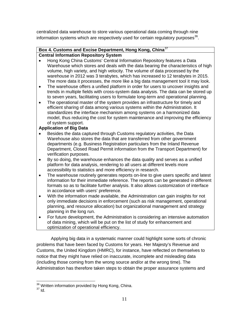centralized data warehouse to store various operational data coming through nine information systems which are respectively used for certain regulatory purposes $36$ .

# **Box 4. Customs and Excise Department, Hong Kong, China**[37](#page-10-0)

# **Central Information Repository System**

- Hong Kong China Customs' Central Information Repository features a Data Warehouse which stores and deals with the data bearing the characteristics of high volume, high variety, and high velocity. The volume of data processed by the warehouse in 2012 was 3 terabytes, which has increased to 12 terabytes in 2015. The more data it processes, the more like a big data management tool it may look.
- The warehouse offers a unified platform in order for users to uncover insights and trends in multiple fields with cross-system data analysis. The data can be stored up to seven years, facilitating users to formulate long-term and operational planning.
- The operational master of the system provides an infrastructure for timely and efficient sharing of data among various systems within the Administration. It standardizes the interface mechanism among systems on a harmonized data model, thus reducing the cost for system maintenance and improving the efficiency of system support.

# **Application of Big Data**

- Besides the data captured through Customs regulatory activities, the Data Warehouse also stores the data that are transferred from other government departments (e.g. Business Registration particulars from the Inland Revenue Department, Closed Road Permit information from the Transport Department) for verification purposes.
- By so doing, the warehouse enhances the data quality and serves as a unified platform for data analysis, rendering to all users at different levels more accessibility to statistics and more efficiency in research.
- The warehouse routinely generates reports on-line to give users specific and latest information for their immediate reference. The reports can be generated in different formats so as to facilitate further analysis. It also allows customization of interface in accordance with users' preference.
- With the information made available, the Administration can gain insights for not only immediate decisions in enforcement (such as risk management, operational planning, and resource allocation) but organizational management and strategy planning in the long run.
- For future development, the Administration is considering an intensive automation of data mining, which will be put on the list of study for enhancement and optimization of operational efficiency.

<span id="page-10-1"></span>Applying big data in a systematic manner could highlight some sorts of chronic problems that have been faced by Customs for years. Her Majesty's Revenue and Customs, the United Kingdom (HMRC), for instance, have reflected on themselves to notice that they might have relied on inaccurate, incomplete and misleading data (including those coming from the wrong source and/or at the wrong time). The Administration has therefore taken steps to obtain the proper assurance systems and

<span id="page-10-0"></span> $36$  Written information provided by Hong Kong, China.<br> $37$  Id.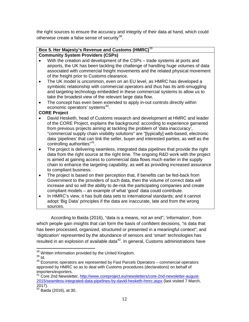the right sources to ensure the accuracy and integrity of their data at hand, which could otherwise create a false sense of security<sup>[38](#page-10-1)</sup>.

# **Box 5. Her Majesty's Revenue and Customs (HMRC)**[39](#page-11-0)

# **Community System Providers (CSPs)**

- With the creation and development of the CSPs trade systems at ports and airports, the UK has been tackling the challenge of handling huge volumes of data associated with commercial freight movements and the related physical movement of the freight prior to Customs clearance.
- The UK model is uncommon, even on an EU level, as HMRC has developed a symbiotic relationship with commercial operators and thus has its anti-smuggling and targeting technology embedded in these commercial systems to allow us to take the broadest view of the relevant large data flow.
- The concept has even been extended to apply in-out controls directly within economic operators' systems<sup>[40](#page-11-1)</sup>.

### **CORE Project**

- David Hesketh, head of Customs research and development at HMRC and leader of the CORE Project, explains the background: according to experience garnered from previous projects aiming at tackling the problem of 'data inaccuracy', "commercial supply chain visibility solutions" are "[typically] web-based, electronic data 'pipelines' that can link the seller, buyer and interested parties; as well as the controlling authorities"[41](#page-11-2).
- The project is delivering seamless, integrated data pipelines that provide the right data from the right source at the right time. The ongoing R&D work with the project is aimed at gaining access to commercial data flows much earlier in the supply chain to enhance the targeting capability, as well as providing increased assurance to compliant business.
- The project is based on their perception that, if benefits can be fed-back from Government to the providers of such data, then the volume of correct data will increase and so will the ability to de-risk the participating companies and create compliant models – an example of what 'good' data could contribute.
- In HMRC's view, it has built data sets to international standards; and it cannot adopt 'Big Data' principles if the data are inaccurate, late and from the wrong sources.

According to Baida (2016), "data is a means, not an end"; 'information', from which people gain insights that can form the basis of confident decisions, "is data that has been processed, organized, structured or presented in a meaningful context"; and 'digitization' represented by the abundance of sensors and 'smart' technologies has resulted in an explosion of available data<sup>[42](#page-11-3)</sup>. In general, Customs administrations have

 $38$  Written information provided by the United Kingdom.<br> $39$  Id.

<span id="page-11-1"></span><span id="page-11-0"></span><sup>&</sup>lt;sup>40</sup> Economic operators are represented by Fast Parcels Operators – commercial operators approved by HMRC so as to deal with Customs procedures (declarations) on behalf of importers/exporters.

<span id="page-11-2"></span><sup>&</sup>lt;sup>41</sup> Core 2nd Newsletter, [http://www.coreproject.eu/newsletters/core-2nd-newsletter-august-](http://www.coreproject.eu/newsletters/core-2nd-newsletter-august-2015/seamless-integrated-data-pipelines-by-david-hesketh-hmrc.aspx)[2015/seamless-integrated-data-pipelines-by-david-hesketh-hmrc.aspx](http://www.coreproject.eu/newsletters/core-2nd-newsletter-august-2015/seamless-integrated-data-pipelines-by-david-hesketh-hmrc.aspx) (last visited 7 March, 2017).

<span id="page-11-4"></span><span id="page-11-3"></span> $42$  Baida (2016), at 30.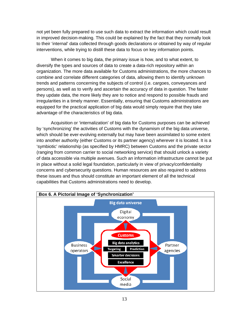not yet been fully prepared to use such data to extract the information which could result in improved decision-making. This could be explained by the fact that they normally look to their 'internal' data collected through goods declarations or obtained by way of regular interventions, while trying to distill these data to focus on key information points.

When it comes to big data, the primary issue is how, and to what extent, to diversify the types and sources of data to create a data-rich repository within an organization. The more data available for Customs administrations, the more chances to combine and correlate different categories of data, allowing them to identify unknown trends and patterns concerning the subjects of control (i.e. cargoes, conveyances and persons), as well as to verify and ascertain the accuracy of data in question. The faster they update data, the more likely they are to notice and respond to possible frauds and irregularities in a timely manner. Essentially, ensuring that Customs administrations are equipped for the practical application of big data would simply require that they take advantage of the characteristics of big data.

Acquisition or 'internalization' of big data for Customs purposes can be achieved by 'synchronizing' the activities of Customs with the dynamism of the big data universe, which should be ever-evolving externally but may have been assimilated to some extent into another authority (either Customs or its partner agency) wherever it is located. It is a 'symbiotic' relationship (as specified by HMRC) between Customs and the private sector (ranging from common carrier to social networking service) that should unlock a variety of data accessible via multiple avenues. Such an information infrastructure cannot be put in place without a solid legal foundation, particularly in view of privacy/confidentiality concerns and cybersecurity questions. Human resources are also required to address these issues and thus should constitute an important element of all the technical capabilities that Customs administrations need to develop.

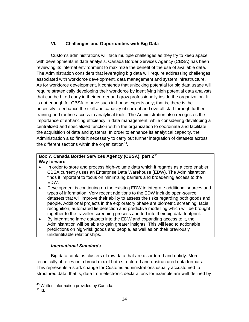# **VI. Challenges and Opportunities with Big Data**

Customs administrations will face multiple challenges as they try to keep apace with developments in data analysis. Canada Border Services Agency (CBSA) has been reviewing its internal environment to maximize the benefit of the use of available data. The Administration considers that leveraging big data will require addressing challenges associated with workforce development, data management and system infrastructure. As for workforce development, it contends that unlocking potential for big data usage will require strategically developing their workforce by identifying high potential data analysts that can be hired early in their career and grow professionally inside the organization. It is not enough for CBSA to have such in-house experts only; that is, there is the necessity to enhance the skill and capacity of current and overall staff through further training and routine access to analytical tools. The Administration also recognizes the importance of enhancing efficiency in data management, while considering developing a centralized and specialized function within the organization to coordinate and facilitate the acquisition of data and systems. In order to enhance its analytical capacity, the Administration also finds it necessary to carry out further integration of datasets across the different sections within the organization $43$ .

### **Box 7. Canada Border Services Agency (CBSA), part 2**[44](#page-13-0) **Way forward**

- In order to store and process high-volume data which it regards as a core enabler, CBSA currently uses an Enterprise Data Warehouse (EDW). The Administration finds it important to focus on minimizing barriers and broadening access to the EDW.
- Development is continuing on the existing EDW to integrate additional sources and types of information. Very recent additions to the EDW include open-source datasets that will improve their ability to assess the risks regarding both goods and people. Additional projects in the exploratory phase are biometric screening, facial recognition, automated lie detection and predictive modelling which will be brought together to the traveller screening process and fed into their big data footprint.
- By integrating large datasets into the EDW and expanding access to it, the Administration will be able to gain greater insights. This will lead to actionable predictions on high-risk goods and people, as well as on their previously unidentifiable relationships.

# *International Standards*

Big data contains clusters of raw data that are disordered and untidy. More technically, it relies on a broad mix of both structured and unstructured data formats. This represents a stark change for Customs administrations usually accustomed to structured data; that is, data from electronic declarations for example are well defined by

<span id="page-13-0"></span><sup>&</sup>lt;sup>43</sup> Written information provided by Canada.<br><sup>44</sup> Id.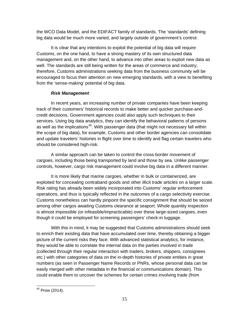the WCO Data Model, and the EDIFACT family of standards. The 'standards' defining big data would be much more varied, and largely outside of government's control.

It is clear that any intentions to exploit the potential of big data will require Customs, on the one hand, to have a strong mastery of its own structured data management and, on the other hand, to advance into other areas to exploit new data as well. The standards are still being written for the areas of commerce and industry; therefore, Customs administrations seeking data from the business community will be encouraged to focus their attention on new emerging standards, with a view to benefiting from the 'sense-making' potential of big data.

# *Risk Management*

In recent years, an increasing number of private companies have been keeping track of their customers' historical records to make better and quicker purchase-andcredit decisions. Government agencies could also apply such techniques to their services. Using big data analytics, they can identify the behavioral patterns of persons as well as the implications<sup>[45](#page-13-0)</sup>. With passenger data (that might not necessary fall within the scope of big data), for example, Customs and other border agencies can consolidate and update travelers' histories in flight over time to identify and flag certain travelers who should be considered high-risk.

A similar approach can be taken to control the cross-border movement of cargoes, including those being transported by land and those by sea. Unlike passenger controls, however, cargo risk management could involve big data in a different manner.

It is more likely that marine cargoes, whether in bulk or containerized, are exploited for concealing contraband goods and other illicit trade articles on a larger scale. Risk rating has already been widely incorporated into Customs' regular enforcement operations, and thus is typically reflected in the outcomes of a cargo selectivity exercise. Customs nonetheless can hardly pinpoint the specific consignment that should be seized among other cargos awaiting Customs clearance at seaport. Whole quantity inspection is almost impossible (or infeasible/impracticable) over these large-sized cargoes, even though it could be employed for screening passengers' check-in luggage.

With this in mind, it may be suggested that Customs administrations should seek to enrich their existing data that have accumulated over time, thereby obtaining a bigger picture of the current risks they face. With advanced statistical analytics, for instance, they would be able to correlate the internal data on the parties involved in trade (collected through their regular interaction with traders, brokers, shippers, consignees etc.) with other categories of data on the in-depth histories of private entities in great numbers (as seen in Passenger Name Records or PNRs, whose personal data can be easily merged with other metadata in the financial or communications domain). This could enable them to uncover the schemes for certain crimes involving trade (from

<span id="page-14-0"></span><sup>45</sup> Prow (2014).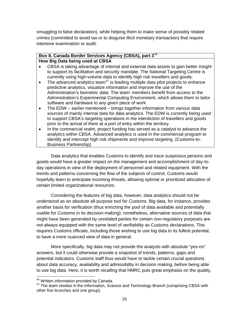smuggling to false declaration), while helping them to make sense of possibly related crimes (committed to avoid tax or to disguise illicit monetary transaction) that require intensive examination or audit.

### **Box 8. Canada Border Services Agency (CBSA), part 3**[46](#page-14-0) **How Big Data being used at CBSA**

- CBSA is taking advantage of internal and external data assets to gain better insight to support its facilitation and security mandate. The National Targeting Centre is currently using high-volume data to identify high risk travellers and goods.
- The advanced analytics team<sup>[47](#page-15-0)</sup> is leading multiple data pilot projects to enhance predictive analytics, visualize information and improve the use of the Administration's biometric data. The team' members benefit from access to the Administration's Experimental Computing Environment, which allows them to tailor software and hardware to any given piece of work.
- The EDW earlier mentioned brings together information from various data sources of mainly internal data for data analytics. The EDW is currently being used to support CBSA's targeting operations in the interdiction of travellers and goods prior to the arrival of them at a port of entry within the territory.
- In the commercial realm, project funding has served as a catalyst to advance the analytics within CBSA. Advanced analytics is used in the commercial program to identify and intercept high risk shipments and improve targeting. (Customs-to-Business Partnership)

Data analytics that enables Customs to identify and trace suspicious persons and goods would have a greater impact on the management and accomplishment of day-today operations in view of the deployment of personnel and related equipment. With the trends and patterns concerning the flow of the subjects of control, Customs would hopefully learn to anticipate incoming threats, allowing optimal or prioritized allocation of certain limited organizational resources.

Considering the features of big data, however, data analytics should not be understood as an absolute all-purpose tool for Customs. Big data, for instance, provides another basis for verification (thus enriching the pool of data available and potentially usable for Customs in its decision-making); nonetheless, alternative sources of data that might have been generated by unrelated parties for certain non-regulatory purposes are not always equipped with the same level of verifiability as Customs declarations. This requires Customs officials, including those wishing to use big data to its fullest potential, to have a more nuanced view of data in general.

<span id="page-15-1"></span>More specifically, big data may not provide the analysts with absolute "yes-no" answers, but it could otherwise provide a snapshot of trends, patterns, gaps and potential indicators. Customs staff thus would have to tackle certain crucial questions about data accuracy, availability and admissibility in decision making, before being able to use big data. Here, it is worth recalling that HMRC puts great emphasis on the quality,

<span id="page-15-0"></span> $46$  Written information provided by Canada.<br> $47$  The team resides in the Information, Science and Technology Branch (comprising CBSA with other five brunches and one group).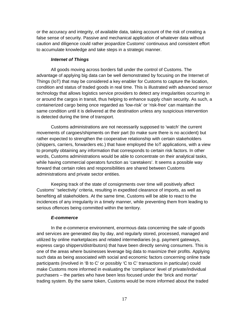or the accuracy and integrity, of available data, taking account of the risk of creating a false sense of security. Passive and mechanical application of whatever data without caution and diligence could rather jeopardize Customs' continuous and consistent effort to accumulate knowledge and take steps in a strategic manner.

### *Internet of Things*

All goods moving across borders fall under the control of Customs. The advantage of applying big data can be well demonstrated by focusing on the Internet of Things (IoT) that may be considered a key enabler for Customs to capture the location, condition and status of traded goods in real time. This is illustrated with advanced sensor technology that allows logistics service providers to detect any irregularities occurring in or around the cargos in transit, thus helping to enhance supply chain security. As such, a containerized cargo being once regarded as 'low-risk' or 'risk-free' can maintain the same condition until it is delivered at the destination unless any suspicious intervention is detected during the time of transport.

Customs administrations are not necessarily supposed to 'watch' the current movements of cargoes/shipments on their part (to make sure there is no accident) but rather expected to strengthen the cooperative relationship with certain stakeholders (shippers, carriers, forwarders etc.) that have employed the IoT applications, with a view to promptly obtaining any information that corresponds to certain risk factors. In other words, Customs administrations would be able to concentrate on their analytical tasks, while having commercial operators function as 'caretakers'. It seems a possible way forward that certain roles and responsibilities are shared between Customs administrations and private sector entities.

Keeping track of the state of consignments over time will positively affect Customs' 'selectivity' criteria, resulting in expedited clearance of imports, as well as benefiting all stakeholders. At the same time, Customs will be able to react to the incidences of any irregularity in a timely manner, while preventing them from leading to serious offences being committed within the territory.

#### *E-commerce*

In the e-commerce environment, enormous data concerning the sale of goods and services are generated day by day, and regularly stored, processed, managed and utilized by online marketplaces and related intermediaries (e.g. payment gateways, express cargo shippers/distributors) that have been directly serving consumers. This is one of the areas where businesses leverage big data to maximize their profits. Applying such data as being associated with social and economic factors concerning online trade participants (involved in 'B to C' or possibly 'C to C' transactions in particular) could make Customs more informed in evaluating the 'compliance' level of private/individual purchasers – the parties who have been less focused under the 'brick and mortar' trading system. By the same token, Customs would be more informed about the traded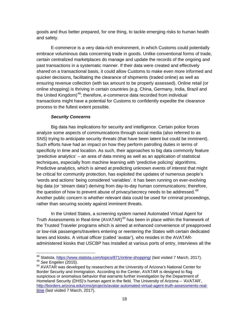goods and thus better prepared, for one thing, to tackle emerging risks to human health and safety.

E-commerce is a very data-rich environment, in which Customs could potentially embrace voluminous data concerning trade in goods. Unlike conventional forms of trade, certain centralized marketplaces do manage and update the records of the ongoing and past transactions in a systematic manner. If their data were created and effectively shared on a transactional basis, it could allow Customs to make even more informed and quicker decisions, facilitating the clearance of shipments (traded online) as well as ensuring revenue collection (with tax amount to be properly assessed). Online retail (or online shopping) is thriving in certain countries (e.g. China, Germany, India, Brazil and the United Kingdom)<sup>48</sup>; therefore, e-commerce data recorded from individual transactions might have a potential for Customs to confidently expedite the clearance process to the fullest extent possible.

### *Security Concerns*

Big data has implications for security and intelligence. Certain police forces analyze some aspects of communications through social media (also referred to as SNS) trying to anticipate security threats (that have been latent but could be imminent). Such efforts have had an impact on how they perform patrolling duties in terms of specificity in time and location. As such, their approaches to big data commonly feature 'predictive analytics' – an area of data mining as well as an application of statistical techniques, especially from machine learning with 'predictive policing' algorithms. Predictive analytics, which is aimed at predicting unknown events of interest that might be critical for community protection, has exploited the updates of numerous people's 'words and actions' being considered 'variables'. It has been running on ever-evolving big data (or 'stream data') deriving from day-to-day human communications; therefore, the question of how to prevent abuse of privacy/secrecy needs to be addressed.<sup>[49](#page-17-0)</sup> Another public concern is whether relevant data could be used for criminal proceedings, rather than securing society against imminent threats.

In the United States, a screening system named Automated Virtual Agent for Truth Assessments in Real-time  $(AVATAR)^{50}$  $(AVATAR)^{50}$  $(AVATAR)^{50}$  has been in place within the framework of the Trusted Traveler programs which is aimed at enhanced convenience of preapproved or low-risk passengers/travelers entering or reentering the States with certain dedicated lanes and kiosks. A virtual officer (called 'avatar'), who resides in the AVATARadministered kiosks that USCBP has installed at various ports of entry, interviews all the

<sup>&</sup>lt;sup>48</sup> Statista,<https://www.statista.com/topics/871/online-shopping/> (last visited 7 March, 2017).<br><sup>49</sup> *See* Engelen (2015).<br><sup>50</sup> AVATAR was developed by researchers at the University of Arizona's National Center for

<span id="page-17-2"></span><span id="page-17-1"></span><span id="page-17-0"></span>Border Security and Immigration. According to the Center, AVATAR is designed to flag suspicious or anomalous behavior that warrants further investigation by the Department of Homeland Security (DHS)'s human agent in the field. The University of Arizona – 'AVATAR', [http://borders.arizona.edu/cms/projects/avatar-automated-virtual-agent-truth-assessments-real](http://borders.arizona.edu/cms/projects/avatar-automated-virtual-agent-truth-assessments-real-time)[time](http://borders.arizona.edu/cms/projects/avatar-automated-virtual-agent-truth-assessments-real-time) (last visited 7 March, 2017).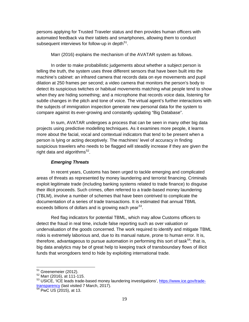persons applying for Trusted Traveler status and then provides human officers with automated feedback via their tablets and smartphones, allowing them to conduct subsequent interviews for follow-up in depth $51$ .

Marr (2016) explains the mechanism of the AVATAR system as follows.

In order to make probabilistic judgements about whether a subject person is telling the truth, the system uses three different sensors that have been built into the machine's cabinet: an infrared camera that records data on eye movements and pupil dilation at 250 frames per second; a video camera that monitors the person's body to detect its suspicious twitches or habitual movements matching what people tend to show when they are hiding something; and a microphone that records voice data, listening for subtle changes in the pitch and tone of voice. The virtual agent's further interactions with the subjects of immigration inspection generate new personal data for the system to compare against its ever-growing and constantly updating "Big Database".

In sum, AVATAR undergoes a process that can be seen in many other big data projects using predictive modelling techniques. As it examines more people, it learns more about the facial, vocal and contextual indicators that tend to be present when a person is lying or acting deceptively. The machines' level of accuracy in finding suspicious travelers who needs to be flagged will steadily increase if they are given the right data and algorithms $52$ .

### *Emerging Threats*

In recent years, Customs has been urged to tackle emerging and complicated areas of threats as represented by money laundering and terrorist financing. Criminals exploit legitimate trade (including banking systems related to trade finance) to disguise their illicit proceeds. Such crimes, often referred to a trade-based money laundering (TBLM), involve a number of schemes that have been contrived to complicate the documentation of a series of trade transactions. It is estimated that annual TBML exceeds billions of dollars and is growing each year<sup>[53](#page-18-1)</sup>.

Red flag indicators for potential TBML, which may allow Customs officers to detect the fraud in real time, include false reporting such as over valuation or undervaluation of the goods concerned. The work required to identify and mitigate TBML risks is extremely laborious and, due to its manual nature, prone to human error. It is, therefore, advantageous to pursue automation in performing this sort of task<sup>[54](#page-18-2)</sup>; that is, big data analytics may be of great help to keeping track of transboundary flows of illicit funds that wrongdoers tend to hide by exploiting international trade.

 $<sup>51</sup>$  Greenemeier (2012).<br> $<sup>52</sup>$  Marr (2016), at 111-115.</sup></sup>

<span id="page-18-1"></span><span id="page-18-0"></span><sup>&</sup>lt;sup>53</sup> USICE, 'ICE leads trade-based money laundering investigations', [https://www.ice.gov/trade-](https://www.ice.gov/trade-transparency) $\frac{\text{transport}}{54}$  PwC US (2015), at 13.

<span id="page-18-2"></span>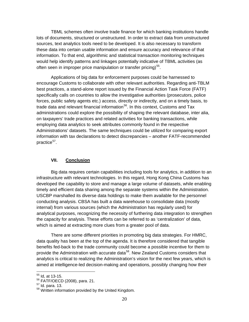TBML schemes often involve trade finance for which banking institutions handle lots of documents, structured or unstructured. In order to extract data from unstructured sources, text analytics tools need to be developed. It is also necessary to transform these data into certain usable information and ensure accuracy and relevance of that information. To that end, algorithmic and statistical transaction monitoring techniques would help identify patterns and linkages potentially indicative of TBML activities (as often seen in improper price manipulation or transfer pricing)<sup>[55](#page-18-0)</sup>.

Applications of big data for enforcement purposes could be harnessed to encourage Customs to collaborate with other relevant authorities. Regarding anti-TBLM best practices, a stand-alone report issued by the Financial Action Task Force (FATF) specifically calls on countries to allow the investigative authorities (prosecutors, police forces, public safety agents etc.) access, directly or indirectly, and on a timely basis, to trade data and relevant financial information<sup>[56](#page-19-0)</sup>. In this context, Customs and Tax administrations could explore the possibility of shaping the relevant database, inter alia, on taxpayers' trade practices and related activities for banking transactions, while employing data analytics to seek attributes commonly found in the respective Administrations' datasets. The same techniques could be utilized for comparing export information with tax declarations to detect discrepancies – another FATF-recommended practice<sup>57</sup>.

### **VII. Conclusion**

Big data requires certain capabilities including tools for analytics, in addition to an infrastructure with relevant technologies. In this regard, Hong Kong China Customs has developed the capability to store and manage a large volume of datasets, while enabling timely and efficient data sharing among the separate systems within the Administration. USCBP marshalled its diverse data holdings to make them available for the personnel conducting analysis. CBSA has built a data warehouse to consolidate data (mostly internal) from various sources (which the Administration has regularly used) for analytical purposes, recognizing the necessity of furthering data integration to strengthen the capacity for analysis. These efforts can be referred to as 'centralization' of data, which is aimed at extracting more clues from a greater pool of data.

There are some different priorities in promoting big data strategies. For HMRC, data quality has been at the top of the agenda. It is therefore considered that tangible benefits fed-back to the trade community could become a possible incentive for them to provide the Administration with accurate data<sup>58</sup>. New Zealand Customs considers that analytics is critical to realizing the Administration's vision for the next few years, which is aimed at intelligence-led decision-making and operations, possibly changing how their

<span id="page-19-3"></span> $\frac{55}{10}$  Id, at 13-15.

 $^{56}$  FATF/OECD (2008), para. 21.

<span id="page-19-1"></span><span id="page-19-0"></span> $57$  Id. para. 13.

<span id="page-19-2"></span><sup>&</sup>lt;sup>58</sup> Written information provided by the United Kingdom.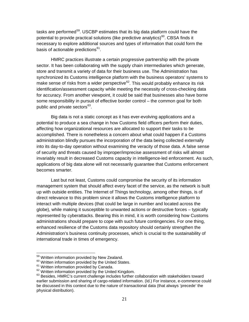tasks are performed<sup>[59](#page-19-3)</sup>. USCBP estimates that its big data platform could have the potential to provide practical solutions (like predictive analytics) $60$ . CBSA finds it necessary to explore additional sources and types of information that could form the basis of actionable predictions<sup>61</sup>.

HMRC practices illustrate a certain progressive partnership with the private sector. It has been collaborating with the supply chain intermediaries which generate, store and transmit a variety of data for their business use. The Administration has synchronized its Customs intelligence platform with the business operators' systems to make sense of risks from a wider perspective<sup>[62](#page-20-2)</sup>. This would probably enhance its risk identification/assessment capacity while meeting the necessity of cross-checking data for accuracy. From another viewpoint, it could be said that businesses also have borne some responsibility in pursuit of effective border control – the common goal for both public and private sectors<sup>[63](#page-20-3)</sup>.

Big data is not a static concept as it has ever-evolving applications and a potential to produce a sea change in how Customs field officers perform their duties, affecting how organizational resources are allocated to support their tasks to be accomplished. There is nonetheless a concern about what could happen if a Customs administration blindly pursues the incorporation of the data being collected externally into its day-to-day operation without examining the veracity of those data. A false sense of security and threats caused by improper/imprecise assessment of risks will almost invariably result in decreased Customs capacity in intelligence-led enforcement. As such, applications of big data alone will not necessarily guarantee that Customs enforcement becomes smarter.

Last but not least, Customs could compromise the security of its information management system that should affect every facet of the service, as the network is built up with outside entities. The Internet of Things technology, among other things, is of direct relevance to this problem since it allows the Customs intelligence platform to interact with multiple devices (that could be large in number and located across the globe), while making it susceptible to unwanted actions or destructive forces – typically represented by cyberattacks. Bearing this in mind, it is worth considering how Customs administrations should prepare to cope with such future contingencies. For one thing, enhanced resilience of the Customs data repository should certainly strengthen the Administration's business continuity processes, which is crucial to the sustainability of international trade in times of emergency.

<span id="page-20-0"></span>

<span id="page-20-1"></span>

<sup>&</sup>lt;sup>59</sup> Written information provided by New Zealand.<br><sup>60</sup> Written information provided by the United States.<br><sup>61</sup> Written information provided by the United Kingdom.<br><sup>62</sup> Written information provided by the United Kingdom.

<span id="page-20-3"></span><span id="page-20-2"></span><sup>63</sup> Besides, HMRC's current challenge includes further collaboration with stakeholders toward earlier submission and sharing of cargo-related information. (Id.) For instance, e-commerce could be discussed in this context due to the nature of transactional data (that always 'precede' the physical distribution).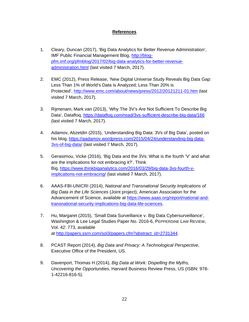### **References**

- 1. Cleary, Duncan (2017), 'Big Data Analytics for Better Revenue Administration', IMF Public Financial Management Blog, [http://blog](http://blog-pfm.imf.org/pfmblog/2017/02/big-data-analytics-for-better-revenue-administration.html)[pfm.imf.org/pfmblog/2017/02/big-data-analytics-for-better-revenue](http://blog-pfm.imf.org/pfmblog/2017/02/big-data-analytics-for-better-revenue-administration.html)[administration.html](http://blog-pfm.imf.org/pfmblog/2017/02/big-data-analytics-for-better-revenue-administration.html) (last visited 7 March, 2017).
- 2. EMC (2012), Press Release, 'New Digital Universe Study Reveals Big Data Gap: Less Than 1% of World's Data is Analyzed; Less Than 20% is Protected',<http://www.emc.com/about/news/press/2012/20121211-01.htm> (last visited 7 March, 2017).
- 3. Rijmenam, Mark van (2013), 'Why The 3V's Are Not Sufficient To Describe Big Data', Datafloq,<https://datafloq.com/read/3vs-sufficient-describe-big-data/166> (last visited 7 March, 2017).
- 4. Adamov, Abzetdin (2015), 'Understanding Big Data: 3Vs of Big Data', posted on his blog, [https://aadamov.wordpress.com/2015/04/24/understanding-big-data-](https://aadamov.wordpress.com/2015/04/24/understanding-big-data-3vs-of-big-data/)[3vs-of-big-data/](https://aadamov.wordpress.com/2015/04/24/understanding-big-data-3vs-of-big-data/) (last visited 7 March, 2017).
- 5. Gerasimou, Vicke (2016), 'Big Data and the 3Vs: What is the fourth 'V' and what are the implications for not embracing it?', Think Big, [https://www.thinkbiganalytics.com/2016/03/29/big-data-3vs-fourth-v](https://www.thinkbiganalytics.com/2016/03/29/big-data-3vs-fourth-v-implications-not-embracing/)[implications-not-embracing/](https://www.thinkbiganalytics.com/2016/03/29/big-data-3vs-fourth-v-implications-not-embracing/) (last visited 7 March, 2017).
- 6. AAAS-FBI-UNICRI (2014), *National and Transnational Security Implications of Big Data in the Life Sciences* (Joint project), American Association for the Advancement of Science, available at [https://www.aaas.org/report/national-and](https://www.aaas.org/report/national-and-transnational-security-implications-big-data-life-sciences)[transnational-security-implications-big-data-life-sciences.](https://www.aaas.org/report/national-and-transnational-security-implications-big-data-life-sciences)
- 7. Hu, Margaret (2015), 'Small Data Surveillance v. Big Data Cybersurveillance', Washington & Lee Legal Studies Paper No. 2016-6, PEPPERDINE LAW REVIEW, Vol. 42: 773, available at [http://papers.ssrn.com/sol3/papers.cfm?abstract\\_id=2731344.](http://papers.ssrn.com/sol3/papers.cfm?abstract_id=2731344)
- 8. PCAST Report (2014), *Big Data and Privacy: A Technological Perspective*, Executive Office of the President, US.
- 9. Davenport, Thomas H (2014), *Big Data at Work: Dispelling the Myths, Uncovering the Opportunities*, Harvard Business Review Press, US (ISBN: 978- 1-42216-816-5).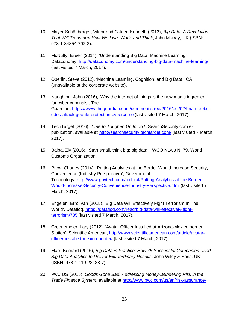- 10. Mayer-Schönberger, Viktor and Cukier, Kenneth (2013), *Big Data: A Revolution That Will Transform How We Live, Work, and Think*, John Murray, UK (ISBN: 978-1-84854-792-2).
- 11. McNulty, Eileen (2014), 'Understanding Big Data: Machine Learning', Dataconomy,<http://dataconomy.com/understanding-big-data-machine-learning/> (last visited 7 March, 2017).
- 12. Oberlin, Steve (2012), 'Machine Learning, Cognition, and Big Data', CA (unavailable at the corporate website).
- 13. Naughton, John (2016), 'Why the internet of things is the new magic ingredient for cyber criminals', The Guardian, [https://www.theguardian.com/commentisfree/2016/oct/02/brian-krebs](https://www.theguardian.com/commentisfree/2016/oct/02/brian-krebs-ddos-attack-google-protection-cybercrime)[ddos-attack-google-protection-cybercrime](https://www.theguardian.com/commentisfree/2016/oct/02/brian-krebs-ddos-attack-google-protection-cybercrime) (last visited 7 March, 2017).
- 14. TechTarget (2016), *Time to Toughen Up for IoT*, SearchSecurity.com epublication, available at <http://searchsecurity.techtarget.com/> (last visited 7 March, 2017).
- 15. Baiba, Ziv (2016), 'Start small, think big: big data!', WCO NEWS N. 79, World Customs Organization.
- 16. Prow, Charles (2014), *'*Putting Analytics at the Border Would Increase Security, Convenience (Industry Perspective)', Government Technology, [http://www.govtech.com/federal/Putting-Analytics-at-the-Border-](http://www.govtech.com/federal/Putting-Analytics-at-the-Border-Would-Increase-Security-Convenience-Industry-Perspective.html)[Would-Increase-Security-Convenience-Industry-Perspective.html](http://www.govtech.com/federal/Putting-Analytics-at-the-Border-Would-Increase-Security-Convenience-Industry-Perspective.html) (last visited 7 March, 2017).
- 17. Engelen, Errol van (2015), 'Big Data Will Effectively Fight Terrorism In The World', Datafloq, [https://datafloq.com/read/big-data-will-effectively-fight](https://datafloq.com/read/big-data-will-effectively-fight-terrorism/785)[terrorism/785](https://datafloq.com/read/big-data-will-effectively-fight-terrorism/785) (last visited 7 March, 2017).
- 18. Greenemeier, Lary (2012), 'Avatar Officer Installed at Arizona-Mexico border Station', Scientific American, [http://www.scientificamerican.com/article/avatar](http://www.scientificamerican.com/article/avatar-officer-installed-mexico-border/)[officer-installed-mexico-border/](http://www.scientificamerican.com/article/avatar-officer-installed-mexico-border/) (last visited 7 March, 2017).
- 19. Marr, Bernard (2016), *Big Data in Practice: How 45 Successful Companies Used Big Data Analytics to Deliver Extraordinary Results*, John Wiley & Sons, UK (ISBN: 978-1-119-23138-7).
- 20. PwC US (2015), *Goods Gone Bad: Addressing Money-laundering Risk in the Trade Finance System*, available at [http://www.pwc.com/us/en/risk-assurance-](http://www.pwc.com/us/en/risk-assurance-services/publications/trade-finance-money-laundering.html)